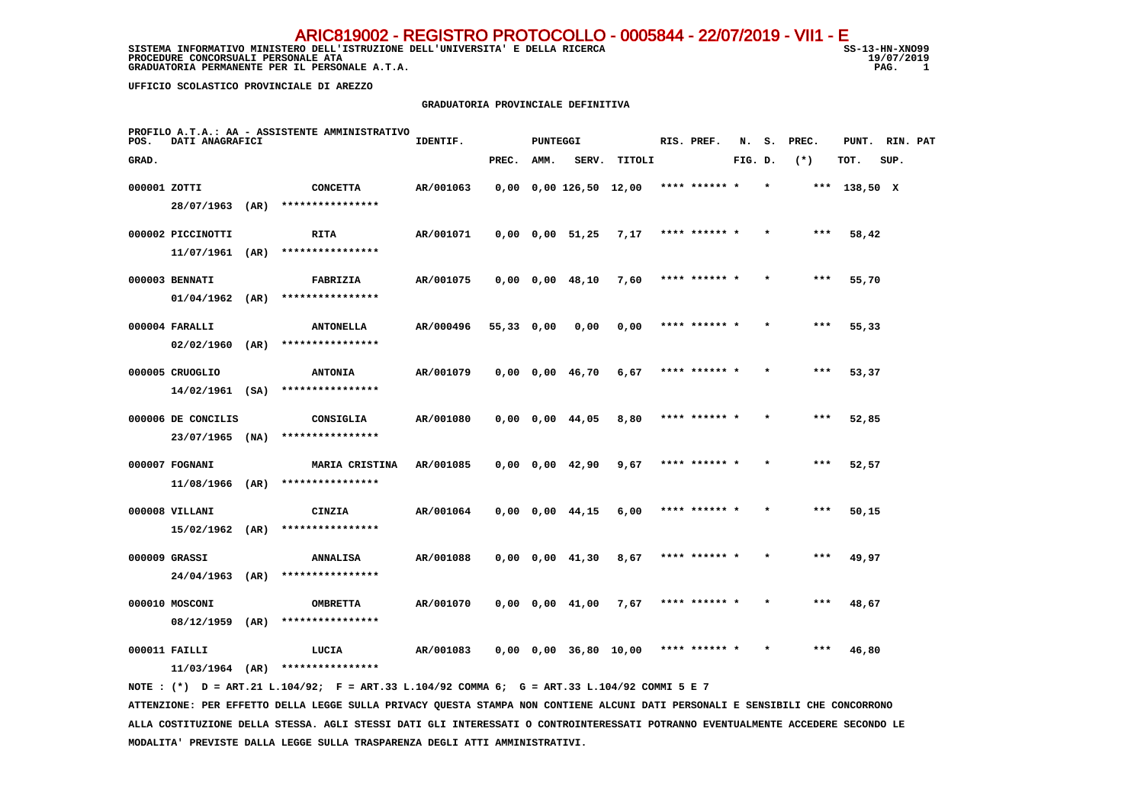SISTEMA INFORMATIVO MINISTERO DELL'ISTRUZIONE DELL'UNIVERSITA' E DELLA RICERCA STRUGIONE SS-13-HN-XNO99 **PROCEDURE CONCORSUALI PERSONALE ATA** 19/07, 19:00 19:00 19:00 19:00 19:00 19:00 19:00 19:00 19:00 19:00 19:00 19:00 19:00 19:00 19:00 19:00 19:00 19:00 19:00 19:00 19:00 19:00 19:00 19:00 19:00 19:00 19:00 19:00 19:00 19:  **GRADUATORIA PERMANENTE PER IL PERSONALE A.T.A.** 

19/07/2019  $\overline{1}$ 

 **UFFICIO SCOLASTICO PROVINCIALE DI AREZZO**

#### **GRADUATORIA PROVINCIALE DEFINITIVA**

| POS.         | <b>DATI ANAGRAFICI</b> | PROFILO A.T.A.: AA - ASSISTENTE AMMINISTRATIVO                                              | IDENTIF.  |            | PUNTEGGI |                              |                                             | RIS. PREF.    |         |         | N. S. PREC. | PUNT. RIN. PAT |      |  |
|--------------|------------------------|---------------------------------------------------------------------------------------------|-----------|------------|----------|------------------------------|---------------------------------------------|---------------|---------|---------|-------------|----------------|------|--|
| GRAD.        |                        |                                                                                             |           | PREC. AMM. |          |                              | SERV. TITOLI                                |               | FIG. D. |         | $(*)$       | TOT.           | SUP. |  |
| 000001 ZOTTI |                        | <b>CONCETTA</b><br>28/07/1963 (AR) ****************                                         | AR/001063 |            |          |                              | $0,00$ 0,00 126,50 12,00 **** ****** *      |               |         | $\star$ |             | *** 138,50 X   |      |  |
|              | 000002 PICCINOTTI      | <b>RITA</b><br>$11/07/1961$ (AR) ****************                                           | AR/001071 |            |          | $0,00$ $0,00$ $51,25$ $7,17$ |                                             | **** ****** * |         | $\star$ | $***$       | 58,42          |      |  |
|              | 000003 BENNATI         | FABRIZIA<br>$01/04/1962$ (AR) ****************                                              | AR/001075 |            |          | $0,00$ $0,00$ $48,10$ 7,60   |                                             | **** ****** * |         | $\star$ | ***         | 55,70          |      |  |
|              | 000004 FARALLI         | <b>ANTONELLA</b><br>$02/02/1960$ (AR) *****************                                     | AR/000496 | 55,33 0,00 |          | 0,00                         | 0,00                                        | **** ****** * |         | $\star$ | $***$       | 55,33          |      |  |
|              | 000005 CRUOGLIO        | <b>ANTONIA</b>                                                                              | AR/001079 |            |          | 0,00 0,00 46,70              | 6,67                                        | **** ****** * |         |         | ***         | 53,37          |      |  |
|              | 000006 DE CONCILIS     | $14/02/1961$ (SA) *****************<br>CONSIGLIA                                            | AR/001080 |            |          | 0,00 0,00 44,05              | 8,80                                        | **** ****** * |         |         | ***         | 52,85          |      |  |
|              | 000007 FOGNANI         | 23/07/1965 (NA) ****************<br><b>MARIA CRISTINA</b>                                   | AR/001085 |            |          | 0,00 0,00 42,90              | 9,67                                        | **** ****** * |         |         |             | 52,57          |      |  |
|              | 000008 VILLANI         | $11/08/1966$ (AR) *****************<br>CINZIA                                               | AR/001064 |            |          | 0,00 0,00 44,15              | 6,00                                        | **** ****** * |         |         | ***         | 50,15          |      |  |
|              | 000009 GRASSI          | $15/02/1962$ (AR) ****************<br><b>ANNALISA</b>                                       | AR/001088 |            |          | 0,00 0,00 41,30              | 8,67                                        | **** ****** * |         |         | ***         | 49,97          |      |  |
|              | 000010 MOSCONI         | 24/04/1963 (AR) ****************<br><b>OMBRETTA</b>                                         | AR/001070 |            |          | $0,00$ $0,00$ $41,00$ $7,67$ |                                             | **** ****** * |         |         | $***$       | 48,67          |      |  |
|              |                        | 08/12/1959 (AR) ****************                                                            |           |            |          |                              |                                             |               |         |         |             |                |      |  |
|              | 000011 FAILLI          | LUCIA<br>$11/03/1964$ (AR) *****************                                                | AR/001083 |            |          |                              | $0,00$ $0,00$ $36,80$ $10,00$ **** ****** * |               |         |         | $***$       | 46,80          |      |  |
|              |                        | NOTE: (*) D = ART.21 L.104/92; F = ART.33 L.104/92 COMMA 6; G = ART.33 L.104/92 COMMI 5 E 7 |           |            |          |                              |                                             |               |         |         |             |                |      |  |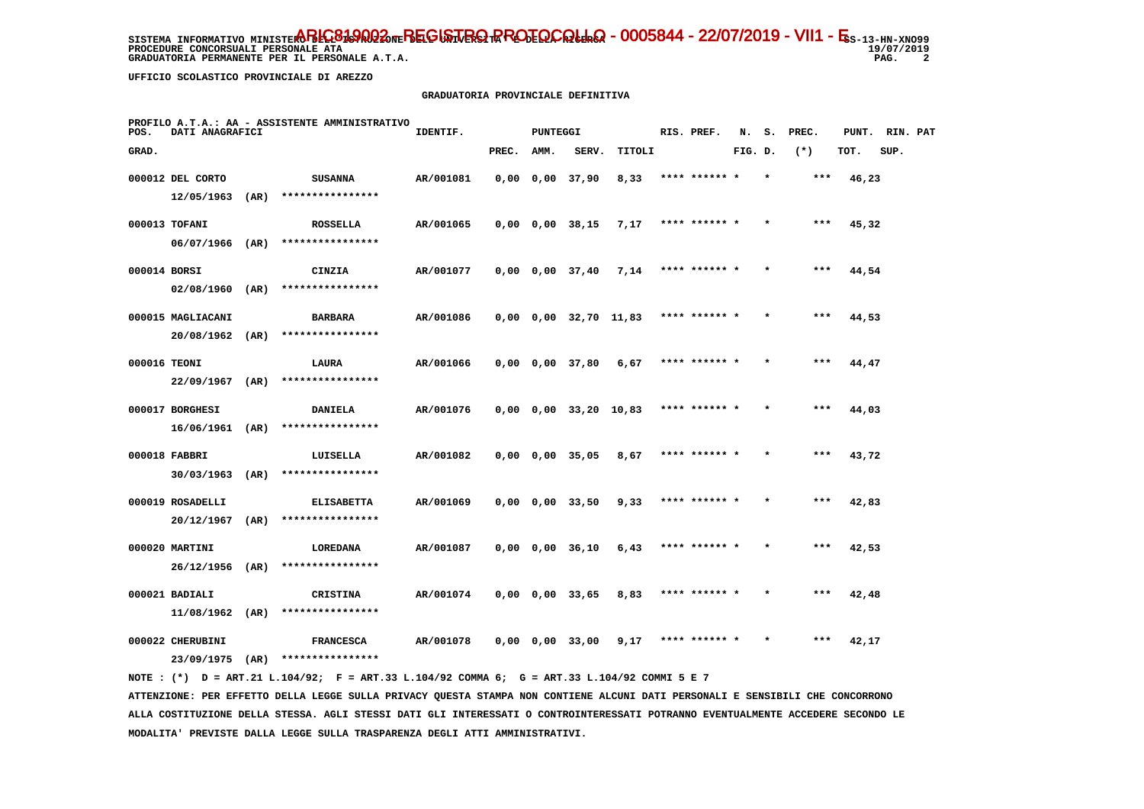**PROCEDURE CONCORSUALI PERSONALE ATA GRADUATORIA PERMANENTE PER IL PERSONALE A.T.A. PAG. 2**

19/07/2019  $\overline{\phantom{a}}$ 

 **UFFICIO SCOLASTICO PROVINCIALE DI AREZZO**

### **GRADUATORIA PROVINCIALE DEFINITIVA**

| POS.         | DATI ANAGRAFICI                                     |      | PROFILO A.T.A.: AA - ASSISTENTE AMMINISTRATIVO           | IDENTIF.  |       | PUNTEGGI |                               |                       | RIS. PREF.    | N.      |         | S. PREC. | PUNT. RIN. PAT |      |  |
|--------------|-----------------------------------------------------|------|----------------------------------------------------------|-----------|-------|----------|-------------------------------|-----------------------|---------------|---------|---------|----------|----------------|------|--|
| GRAD.        |                                                     |      |                                                          |           | PREC. | AMM.     | SERV.                         | TITOLI                |               | FIG. D. |         | $(*)$    | TOT.           | SUP. |  |
|              | 000012 DEL CORTO<br>$12/05/1963$ (AR)               |      | <b>SUSANNA</b><br>****************                       | AR/001081 |       |          | $0,00$ $0,00$ $37,90$         | 8,33                  | **** ****** * |         |         | $***$    | 46,23          |      |  |
|              | 000013 TOFANI                                       |      | <b>ROSSELLA</b><br>****************                      | AR/001065 |       |          | $0,00$ $0,00$ $38,15$         | 7,17                  | **** ****** * |         |         | $***$    | 45,32          |      |  |
| 000014 BORSI | $06/07/1966$ (AR)                                   |      | CINZIA                                                   | AR/001077 |       |          |                               | 0,00 0,00 37,40 7,14  | **** ****** * |         | $\star$ | $***$    | 44,54          |      |  |
|              | $02/08/1960$ (AR)<br>000015 MAGLIACANI              |      | ****************<br><b>BARBARA</b>                       | AR/001086 |       |          | $0,00$ $0,00$ $32,70$ $11,83$ |                       | **** ****** * |         |         | $***$    | 44,53          |      |  |
| 000016 TEONI | $20/08/1962$ (AR)                                   |      | ****************<br>LAURA                                | AR/001066 |       |          | 0,00 0,00 37,80               | 6,67                  | **** ****** * |         |         | $***$    | 44,47          |      |  |
|              | $22/09/1967$ (AR)                                   |      | ****************                                         |           |       |          |                               |                       |               |         |         |          |                |      |  |
|              | 000017 BORGHESI<br>$16/06/1961$ (AR)                |      | <b>DANIELA</b><br>****************                       | AR/001076 |       |          |                               | 0,00 0,00 33,20 10,83 | **** ****** * |         | $\star$ | ***      | 44,03          |      |  |
|              | 000018 FABBRI<br>$30/03/1963$ (AR)                  |      | LUISELLA<br>****************                             | AR/001082 |       |          | 0,00 0,00 35,05               | 8,67                  |               |         |         | ***      | 43,72          |      |  |
|              | 000019 ROSADELLI<br>20/12/1967                      | (AR) | <b>ELISABETTA</b><br>****************                    | AR/001069 |       |          | 0,00 0,00 33,50               | 9,33                  | **** ****** * |         |         | $***$    | 42,83          |      |  |
|              | 000020 MARTINI<br>26/12/1956                        | (AR) | LOREDANA<br>****************                             | AR/001087 |       |          | 0,00 0,00 36,10               | 6,43                  | **** ****** * |         | $\star$ | $***$    | 42,53          |      |  |
|              | 000021 BADIALI                                      |      | <b>CRISTINA</b>                                          | AR/001074 |       |          | 0,00 0,00 33,65               | 8,83                  | **** ****** * |         |         | ***      | 42,48          |      |  |
|              | $11/08/1962$ (AR)<br>000022 CHERUBINI<br>23/09/1975 | (AR) | ****************<br><b>FRANCESCA</b><br>**************** | AR/001078 |       |          | 0,00 0,00 33,00               | 9.17                  | **** ****** * |         |         | ***      | 42,17          |      |  |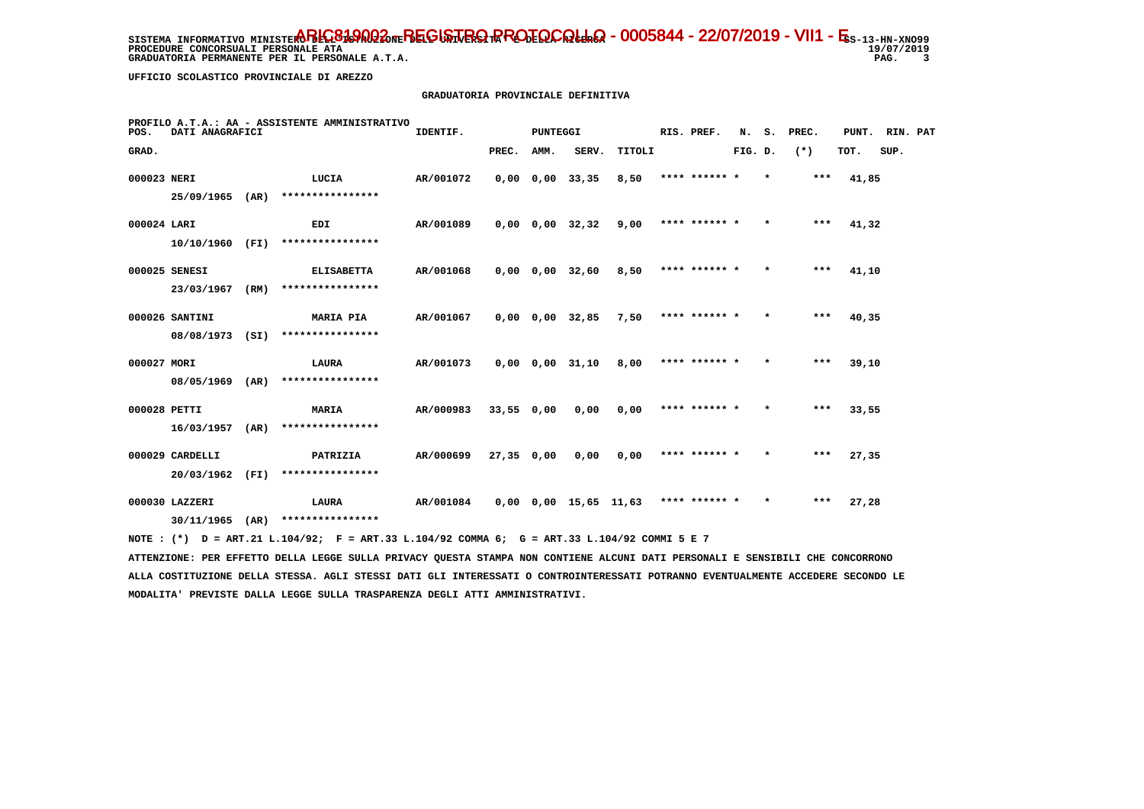**PROCEDURE CONCORSUALI PERSONALE ATA GRADUATORIA PERMANENTE PER IL PERSONALE A.T.A.** 

19/07/2019 PAG. 3

 **UFFICIO SCOLASTICO PROVINCIALE DI AREZZO**

# **GRADUATORIA PROVINCIALE DEFINITIVA**

| POS.         | DATI ANAGRAFICI                     |      | PROFILO A.T.A.: AA - ASSISTENTE AMMINISTRATIVO | IDENTIF.  |            | <b>PUNTEGGI</b> |                              |                               | RIS. PREF.      |         |         | N. S. PREC. | PUNT. RIN. PAT |      |  |
|--------------|-------------------------------------|------|------------------------------------------------|-----------|------------|-----------------|------------------------------|-------------------------------|-----------------|---------|---------|-------------|----------------|------|--|
| GRAD.        |                                     |      |                                                |           | PREC.      | AMM.            | SERV.                        | TITOLI                        |                 | FIG. D. |         | $(*)$       | TOT.           | SUP. |  |
| 000023 NERI  |                                     |      | LUCIA                                          | AR/001072 |            |                 | 0,00 0,00 33,35              | 8,50                          | **** ****** * * |         |         | ***         | 41,85          |      |  |
|              | 25/09/1965 (AR)                     |      | ****************                               |           |            |                 |                              |                               |                 |         |         |             |                |      |  |
| 000024 LARI  |                                     |      | EDI                                            | AR/001089 |            |                 | $0,00$ $0,00$ $32,32$ $9,00$ |                               | **** ****** *   |         | $\star$ | $***$       | 41,32          |      |  |
|              | 10/10/1960 (FI)                     |      | ****************                               |           |            |                 |                              |                               |                 |         |         |             |                |      |  |
|              | 000025 SENESI                       |      | <b>ELISABETTA</b>                              | AR/001068 |            |                 | 0,00 0,00 32,60              | 8,50                          | **** ****** *   |         | $\star$ | $***$       | 41,10          |      |  |
|              | 23/03/1967                          | (RM) | ****************                               |           |            |                 |                              |                               |                 |         |         |             |                |      |  |
|              | 000026 SANTINI                      |      | <b>MARIA PIA</b>                               | AR/001067 |            |                 | $0,00$ $0,00$ $32,85$ 7,50   |                               | **** ****** *   |         | $\star$ | ***         | 40,35          |      |  |
|              | 08/08/1973 (SI)                     |      | ****************                               |           |            |                 |                              |                               |                 |         |         |             |                |      |  |
| 000027 MORI  |                                     |      | <b>LAURA</b>                                   | AR/001073 |            |                 | 0,00 0,00 31,10              | 8,00                          | **** ****** *   |         |         | ***         | 39,10          |      |  |
|              | 08/05/1969 (AR)                     |      | ****************                               |           |            |                 |                              |                               |                 |         |         |             |                |      |  |
| 000028 PETTI |                                     |      | <b>MARIA</b><br>****************               | AR/000983 | 33,55 0,00 |                 | 0,00                         | 0,00                          | **** ****** *   |         | $\star$ | ***         | 33,55          |      |  |
|              | $16/03/1957$ (AR)                   |      |                                                |           |            |                 |                              |                               |                 |         |         |             |                |      |  |
|              | 000029 CARDELLI<br>20/03/1962       | (FI) | PATRIZIA<br>****************                   | AR/000699 | 27,35 0,00 |                 | 0,00                         | 0.00                          | **** ****** *   |         | $\star$ | $***$       | 27,35          |      |  |
|              |                                     |      |                                                |           |            |                 |                              |                               |                 |         |         |             |                |      |  |
|              | 000030 LAZZERI<br>$30/11/1965$ (AR) |      | <b>LAURA</b><br>****************               | AR/001084 |            |                 |                              | $0,00$ $0,00$ $15,65$ $11,63$ | **** ****** *   |         | $\star$ | ***         | 27,28          |      |  |
|              |                                     |      |                                                |           |            |                 |                              |                               |                 |         |         |             |                |      |  |

 **NOTE : (\*) D = ART.21 L.104/92; F = ART.33 L.104/92 COMMA 6; G = ART.33 L.104/92 COMMI 5 E 7**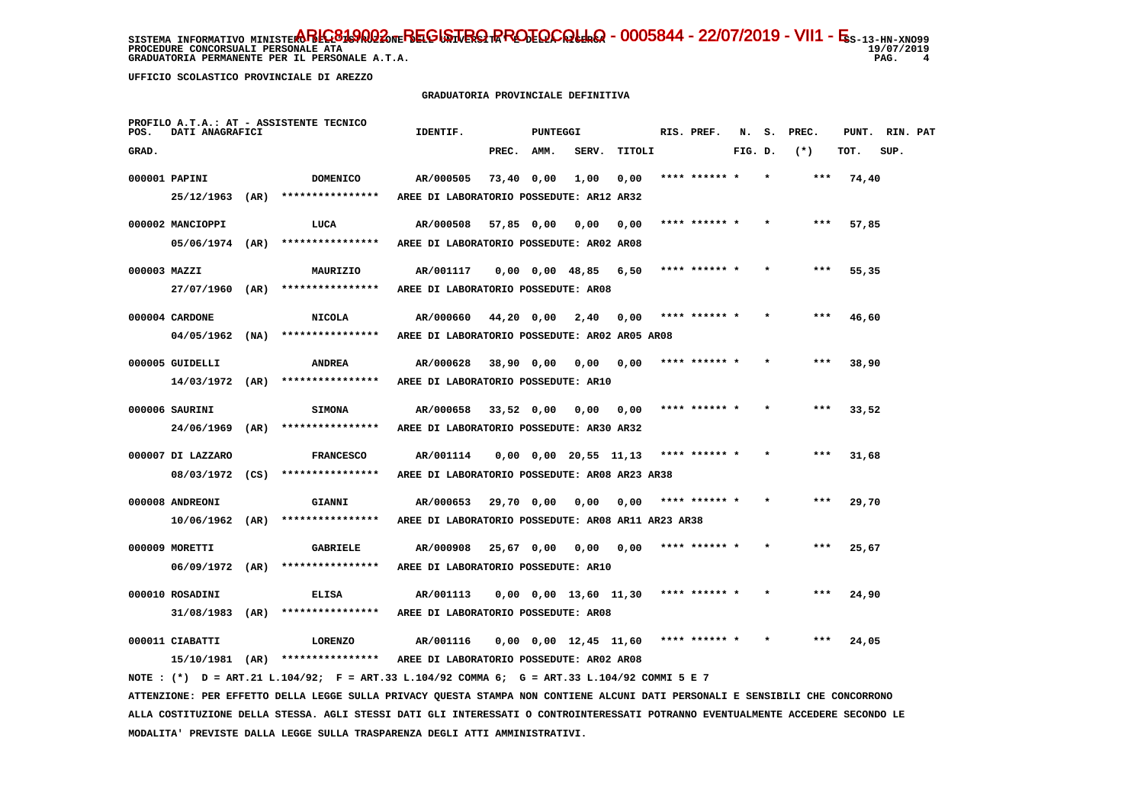19/07/2019 PAG. 4

**PROCEDURE CONCORSUALI PERSONALE ATA** GRADUATORIA PERMANENTE PER IL PERSONALE A.T.A.

 **UFFICIO SCOLASTICO PROVINCIALE DI AREZZO**

### **GRADUATORIA PROVINCIALE DEFINITIVA**

| POS.         | DATI ANAGRAFICI                      | PROFILO A.T.A.: AT - ASSISTENTE TECNICO                                                                                       | IDENTIF.                                                   |              | PUNTEGGI |                               |        | RIS. PREF.    | N.      | s. | PREC.  | PUNT. | RIN. PAT |  |
|--------------|--------------------------------------|-------------------------------------------------------------------------------------------------------------------------------|------------------------------------------------------------|--------------|----------|-------------------------------|--------|---------------|---------|----|--------|-------|----------|--|
| GRAD.        |                                      |                                                                                                                               |                                                            | PREC. AMM.   |          | SERV.                         | TITOLI |               | FIG. D. |    | $(* )$ | TOT.  | SUP.     |  |
|              | 000001 PAPINI                        | <b>DOMENICO</b>                                                                                                               | AR/000505                                                  | 73,40 0,00   |          | 1,00                          | 0.00   | **** ****** * |         |    | ***    | 74,40 |          |  |
|              | 25/12/1963 (AR)                      | ****************                                                                                                              | AREE DI LABORATORIO POSSEDUTE: AR12 AR32                   |              |          |                               |        |               |         |    |        |       |          |  |
|              | 000002 MANCIOPPI                     | LUCA                                                                                                                          | AR/000508                                                  | 57,85 0,00   |          | 0,00                          | 0,00   | **** ****** * |         |    | $***$  | 57,85 |          |  |
|              | 05/06/1974 (AR)                      | ****************                                                                                                              | AREE DI LABORATORIO POSSEDUTE: AR02 AR08                   |              |          |                               |        |               |         |    |        |       |          |  |
| 000003 MAZZI |                                      | MAURIZIO                                                                                                                      | AR/001117                                                  |              |          | 0,00 0,00 48,85               | 6,50   | **** ****** * |         |    | ***    | 55,35 |          |  |
|              | 27/07/1960 (AR)                      | ****************                                                                                                              | AREE DI LABORATORIO POSSEDUTE: AR08                        |              |          |                               |        |               |         |    |        |       |          |  |
|              | 000004 CARDONE                       | <b>NICOLA</b>                                                                                                                 | AR/000660                                                  | 44,20 0,00   |          | 2,40                          | 0,00   | **** ****** * |         |    | ***    | 46,60 |          |  |
|              | $04/05/1962$ (NA)                    | ****************                                                                                                              | AREE DI LABORATORIO POSSEDUTE: AR02 AR05 AR08              |              |          |                               |        |               |         |    |        |       |          |  |
|              | 000005 GUIDELLI                      | <b>ANDREA</b>                                                                                                                 | AR/000628                                                  | $38,90$ 0,00 |          | 0,00                          | 0,00   | **** ****** * |         |    | ***    | 38,90 |          |  |
|              | $14/03/1972$ (AR)                    | ****************                                                                                                              | AREE DI LABORATORIO POSSEDUTE: AR10                        |              |          |                               |        |               |         |    |        |       |          |  |
|              | 000006 SAURINI                       | <b>SIMONA</b>                                                                                                                 | AR/000658                                                  | 33,52 0,00   |          | 0,00                          | 0,00   |               |         |    | ***    | 33,52 |          |  |
|              | 24/06/1969 (AR)                      | ****************                                                                                                              | AREE DI LABORATORIO POSSEDUTE: AR30 AR32                   |              |          |                               |        |               |         |    |        |       |          |  |
|              |                                      |                                                                                                                               |                                                            |              |          |                               |        |               |         |    |        |       |          |  |
|              | 000007 DI LAZZARO<br>08/03/1972 (CS) | <b>FRANCESCO</b><br>****************                                                                                          | AR/001114<br>AREE DI LABORATORIO POSSEDUTE: AR08 AR23 AR38 |              |          | $0,00$ $0,00$ $20,55$ $11,13$ |        | **** ****** * |         |    | ***    | 31,68 |          |  |
|              |                                      |                                                                                                                               |                                                            |              |          |                               |        |               |         |    |        |       |          |  |
|              | 000008 ANDREONI                      | GIANNI                                                                                                                        | AR/000653                                                  | 29,70 0,00   |          | 0,00                          | 0,00   | **** ****** * |         |    | ***    | 29,70 |          |  |
|              | $10/06/1962$ (AR)                    | ****************                                                                                                              | AREE DI LABORATORIO POSSEDUTE: AR08 AR11 AR23 AR38         |              |          |                               |        |               |         |    |        |       |          |  |
|              | 000009 MORETTI                       | GABRIELE                                                                                                                      | AR/000908                                                  | 25,67 0,00   |          | 0.00                          | 0.00   | **** ****** * |         |    | ***    | 25,67 |          |  |
|              | $06/09/1972$ (AR)                    | ****************                                                                                                              | AREE DI LABORATORIO POSSEDUTE: AR10                        |              |          |                               |        |               |         |    |        |       |          |  |
|              | 000010 ROSADINI                      | ELISA                                                                                                                         | AR/001113                                                  |              |          | $0,00$ $0,00$ $13,60$ $11,30$ |        | **** ****** * |         |    | $***$  | 24,90 |          |  |
|              | 31/08/1983 (AR)                      | ****************                                                                                                              | AREE DI LABORATORIO POSSEDUTE: AR08                        |              |          |                               |        |               |         |    |        |       |          |  |
|              | 000011 CIABATTI                      | <b>LORENZO</b>                                                                                                                | AR/001116                                                  |              |          | $0,00$ $0,00$ $12,45$ $11,60$ |        | **** ****** * |         |    | ***    | 24,05 |          |  |
|              |                                      | $15/10/1981$ (AR) ****************                                                                                            | AREE DI LABORATORIO POSSEDUTE: AR02 AR08                   |              |          |                               |        |               |         |    |        |       |          |  |
|              |                                      | NOTE: (*) D = ART.21 L.104/92; F = ART.33 L.104/92 COMMA 6; G = ART.33 L.104/92 COMMI 5 E 7                                   |                                                            |              |          |                               |        |               |         |    |        |       |          |  |
|              |                                      | ATTENZIONE: PER EFFETTO DELLA LEGGE SULLA PRIVACY QUESTA STAMPA NON CONTIENE ALCUNI DATI PERSONALI E SENSIBILI CHE CONCORRONO |                                                            |              |          |                               |        |               |         |    |        |       |          |  |

 **ALLA COSTITUZIONE DELLA STESSA. AGLI STESSI DATI GLI INTERESSATI O CONTROINTERESSATI POTRANNO EVENTUALMENTE ACCEDERE SECONDO LE MODALITA' PREVISTE DALLA LEGGE SULLA TRASPARENZA DEGLI ATTI AMMINISTRATIVI.**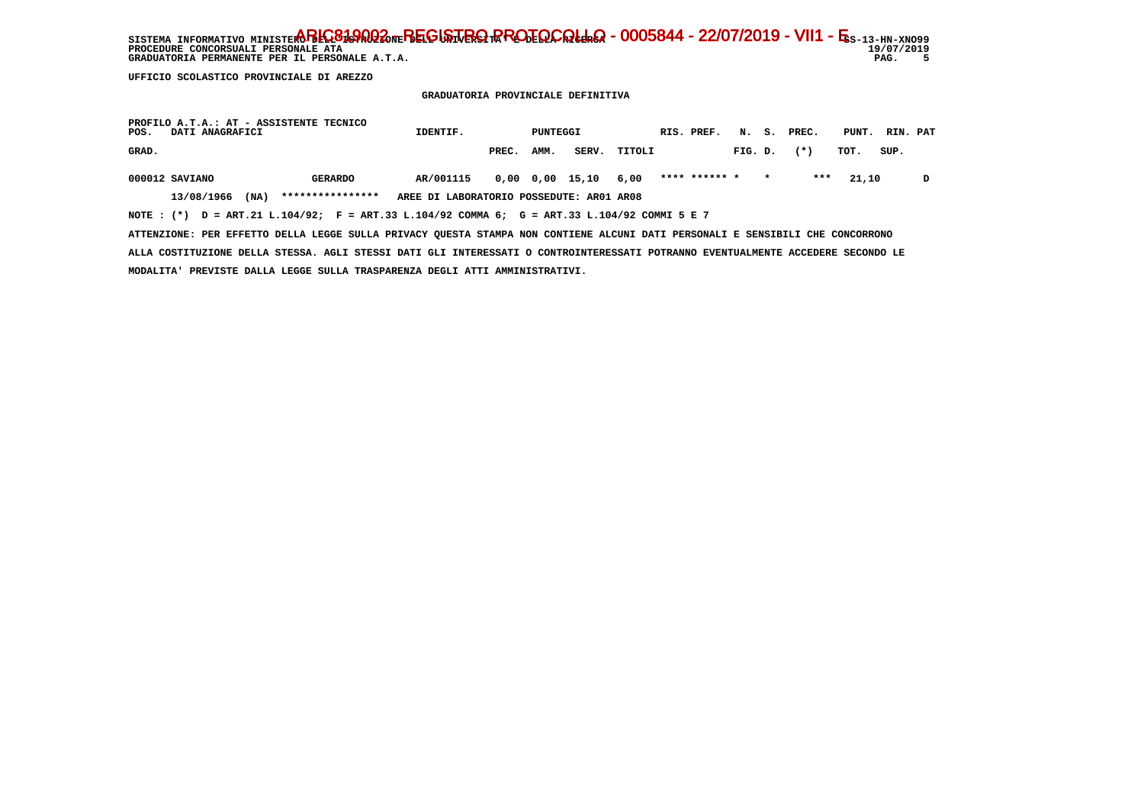SISTEMA INFORMATIVO MINISTERO BELGO DEL BEGISTRO RROTOCOLLO - 0005844 - 22/07/2019 - VII1 - E<sub>S-13-HN-XNO99</sub> 19/07/2019  **PROCEDURE CONCORSUALI PERSONALE ATA 19/07/2019** $\overline{\phantom{0}}$ GRADUATORIA PERMANENTE PER IL PERSONALE A.T.A.

 **UFFICIO SCOLASTICO PROVINCIALE DI AREZZO**

 **GRADUATORIA PROVINCIALE DEFINITIVA**

| PROFILO A.T.A.: AT - ASSISTENTE TECNICO<br>POS.<br>DATI ANAGRAFICI                                                            |                  | IDENTIF.                                 |       | PUNTEGGI |                       |        | RIS. PREF.    |         | N. S.   | PREC.  | PUNT. | RIN. PAT |   |
|-------------------------------------------------------------------------------------------------------------------------------|------------------|------------------------------------------|-------|----------|-----------------------|--------|---------------|---------|---------|--------|-------|----------|---|
| GRAD.                                                                                                                         |                  |                                          | PREC. | AMM.     | SERV.                 | TITOLI |               | FIG. D. |         | $(* )$ | TOT.  | SUP.     |   |
| 000012 SAVIANO                                                                                                                | <b>GERARDO</b>   | AR/001115                                |       |          | $0.00$ $0.00$ $15.10$ | 6,00   | **** ****** * |         | $\star$ | ***    | 21,10 |          | D |
| 13/08/1966<br>(MA)                                                                                                            | **************** | AREE DI LABORATORIO POSSEDUTE: AR01 AR08 |       |          |                       |        |               |         |         |        |       |          |   |
| NOTE: (*) D = ART.21 L.104/92; F = ART.33 L.104/92 COMMA 6; G = ART.33 L.104/92 COMMI 5 E 7                                   |                  |                                          |       |          |                       |        |               |         |         |        |       |          |   |
| ATTENZIONE: PER EFFETTO DELLA LEGGE SULLA PRIVACY OUESTA STAMPA NON CONTIENE ALCUNI DATI PERSONALI E SENSIBILI CHE CONCORRONO |                  |                                          |       |          |                       |        |               |         |         |        |       |          |   |

 **ALLA COSTITUZIONE DELLA STESSA. AGLI STESSI DATI GLI INTERESSATI O CONTROINTERESSATI POTRANNO EVENTUALMENTE ACCEDERE SECONDO LE MODALITA' PREVISTE DALLA LEGGE SULLA TRASPARENZA DEGLI ATTI AMMINISTRATIVI.**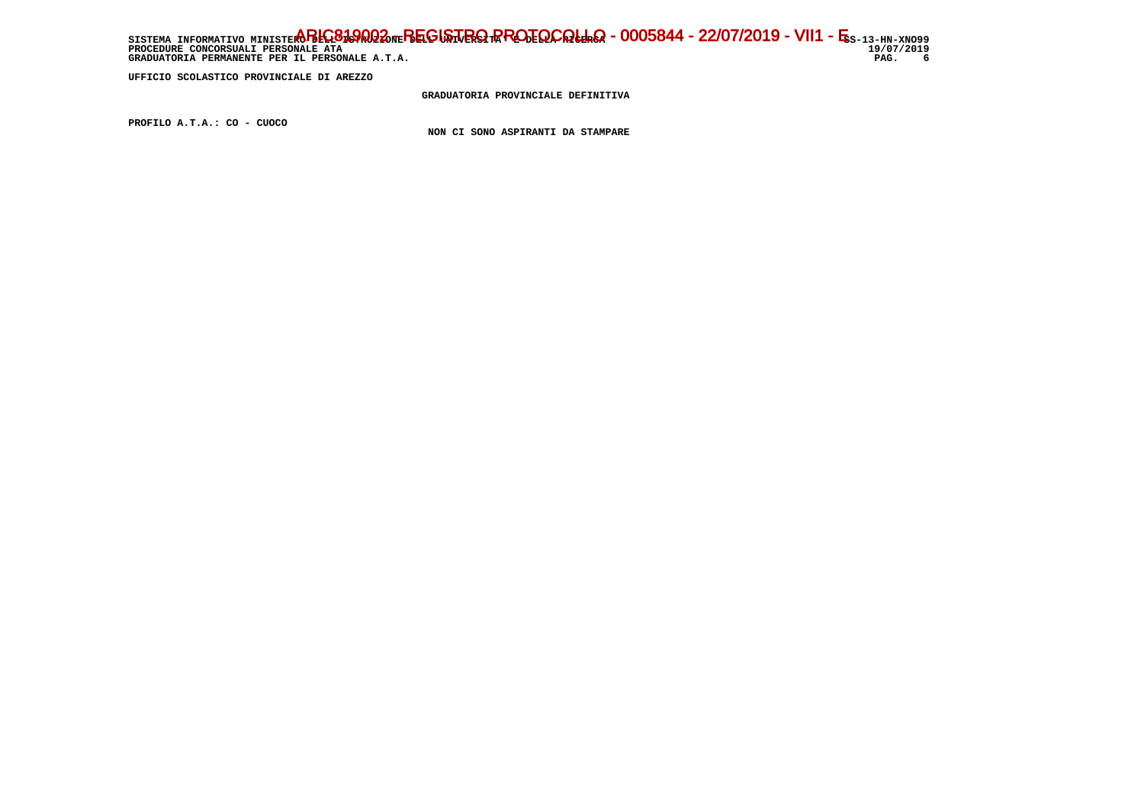SISTEMA INFORMATIVO MINISTERO BELGO DEL BEGISTRO RROTOCOLLO - 0005844 - 22/07/2019 - VII1 - E<sub>S-13-HN-XNO99</sub> 19/07/2019 **PROCEDURE CONCORSUALI PERSONALE ATA** PAG. 6 GRADUATORIA PERMANENTE PER IL PERSONALE A.T.A.

 **UFFICIO SCOLASTICO PROVINCIALE DI AREZZO**

 **GRADUATORIA PROVINCIALE DEFINITIVA**

 **PROFILO A.T.A.: CO - CUOCO**

 **NON CI SONO ASPIRANTI DA STAMPARE**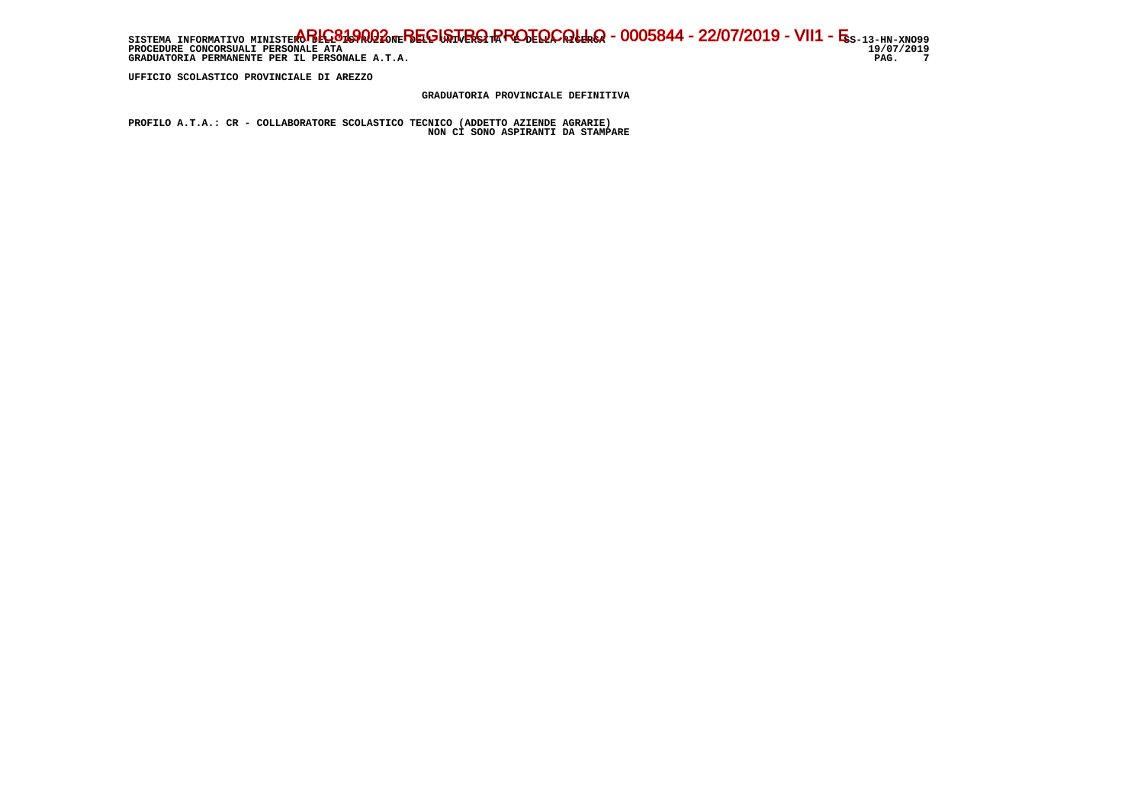SISTEMA INFORMATIVO MINISTERO BELGO DEL BEGISTRO RROTOCOLLO - 0005844 - 22/07/2019 - VII1 - E<sub>S-13-HN-XNO99</sub> 19/07/2019 **PROCEDURE CONCORSUALI PERSONALE ATA** PAG. 7 GRADUATORIA PERMANENTE PER IL PERSONALE A.T.A.

 **UFFICIO SCOLASTICO PROVINCIALE DI AREZZO**

 **GRADUATORIA PROVINCIALE DEFINITIVA**

 **PROFILO A.T.A.: CR - COLLABORATORE SCOLASTICO TECNICO (ADDETTO AZIENDE AGRARIE) NON CI SONO ASPIRANTI DA STAMPARE**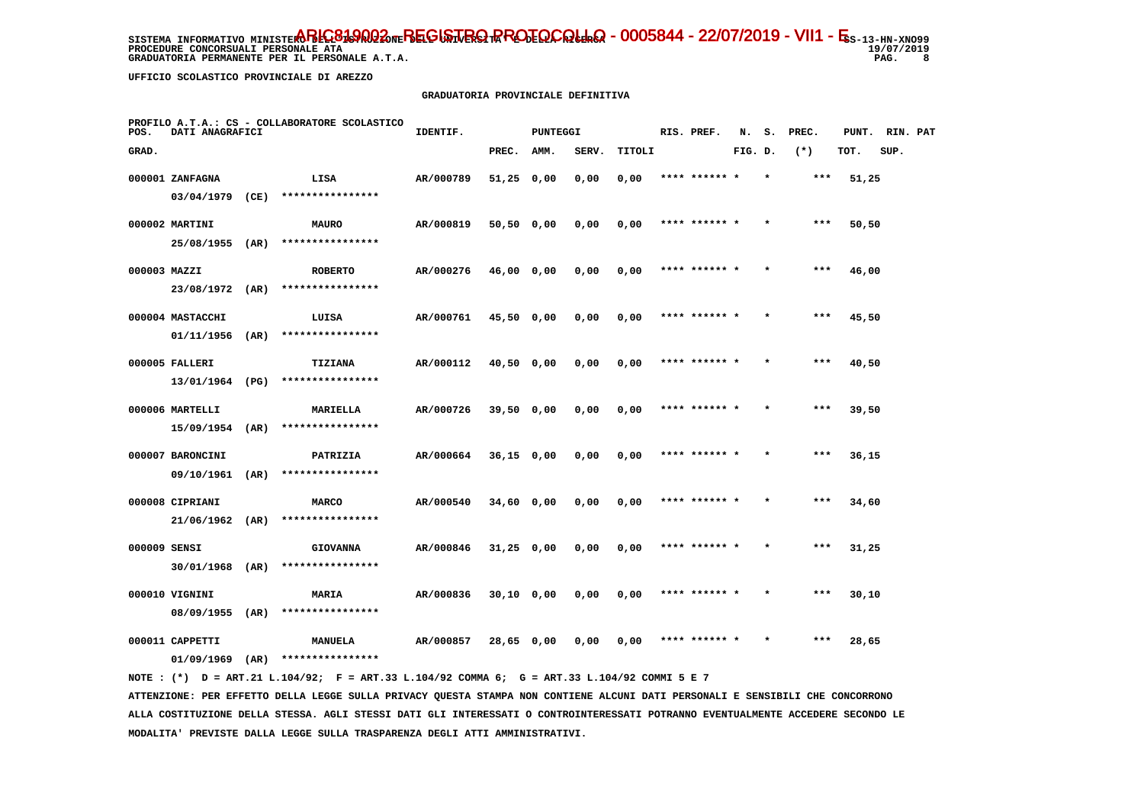**PROCEDURE CONCORSUALI PERSONALE ATA GRADUATORIA PERMANENTE PER IL PERSONALE A.T.A. PAG. 8**

19/07/2019  $\overline{\phantom{0}}$  8

 **UFFICIO SCOLASTICO PROVINCIALE DI AREZZO**

#### **GRADUATORIA PROVINCIALE DEFINITIVA**

| POS.         | DATI ANAGRAFICI   |      | PROFILO A.T.A.: CS - COLLABORATORE SCOLASTICO | IDENTIF.  |              | PUNTEGGI |       |        | RIS. PREF.    | N.      | s.      | PREC. | PUNT. RIN. PAT |      |  |
|--------------|-------------------|------|-----------------------------------------------|-----------|--------------|----------|-------|--------|---------------|---------|---------|-------|----------------|------|--|
| GRAD.        |                   |      |                                               |           | PREC.        | AMM.     | SERV. | TITOLI |               | FIG. D. |         | $(*)$ | TOT.           | SUP. |  |
|              | 000001 ZANFAGNA   |      | LISA                                          | AR/000789 | $51,25$ 0,00 |          | 0,00  | 0,00   | **** ******   |         |         | ***   | 51,25          |      |  |
|              | 03/04/1979 (CE)   |      | ****************                              |           |              |          |       |        |               |         |         |       |                |      |  |
|              | 000002 MARTINI    |      | <b>MAURO</b>                                  | AR/000819 | 50,50 0,00   |          | 0,00  | 0,00   | **** ****** * |         |         | $***$ | 50,50          |      |  |
|              | 25/08/1955 (AR)   |      | ****************                              |           |              |          |       |        |               |         |         |       |                |      |  |
| 000003 MAZZI |                   |      | <b>ROBERTO</b>                                | AR/000276 | 46,00 0,00   |          | 0,00  | 0,00   | **** ****** * |         | $\star$ | ***   | 46,00          |      |  |
|              | 23/08/1972 (AR)   |      | ****************                              |           |              |          |       |        |               |         |         |       |                |      |  |
|              | 000004 MASTACCHI  |      | LUISA                                         | AR/000761 | 45,50 0,00   |          | 0,00  | 0,00   | **** ****** * |         |         | ***   | 45,50          |      |  |
|              | 01/11/1956        | (AR) | ****************                              |           |              |          |       |        |               |         |         |       |                |      |  |
|              | 000005 FALLERI    |      | TIZIANA                                       | AR/000112 | 40,50 0,00   |          | 0,00  | 0,00   | **** ****** * |         |         | $***$ | 40,50          |      |  |
|              | 13/01/1964 (PG)   |      | ****************                              |           |              |          |       |        |               |         |         |       |                |      |  |
|              | 000006 MARTELLI   |      | <b>MARIELLA</b>                               | AR/000726 | 39,50 0,00   |          | 0,00  | 0,00   | **** ****** * |         |         | $***$ | 39,50          |      |  |
|              | $15/09/1954$ (AR) |      | ****************                              |           |              |          |       |        |               |         |         |       |                |      |  |
|              | 000007 BARONCINI  |      | PATRIZIA                                      | AR/000664 | $36,15$ 0,00 |          | 0,00  | 0,00   |               |         |         | ***   | 36,15          |      |  |
|              | 09/10/1961        | (AR) | ****************                              |           |              |          |       |        |               |         |         |       |                |      |  |
|              | 000008 CIPRIANI   |      | <b>MARCO</b>                                  | AR/000540 | $34,60$ 0,00 |          | 0,00  | 0,00   | **** ****** * |         |         | $***$ | 34,60          |      |  |
|              | 21/06/1962        | (AR) | ****************                              |           |              |          |       |        |               |         |         |       |                |      |  |
| 000009 SENSI |                   |      | <b>GIOVANNA</b>                               | AR/000846 | $31,25$ 0,00 |          | 0,00  | 0,00   | **** ****** * |         | $\star$ | ***   | 31,25          |      |  |
|              | 30/01/1968        | (AR) | ****************                              |           |              |          |       |        |               |         |         |       |                |      |  |
|              | 000010 VIGNINI    |      | MARIA                                         | AR/000836 | $30,10$ 0,00 |          | 0,00  | 0,00   | **** ****** * |         |         | $***$ | 30,10          |      |  |
|              | 08/09/1955 (AR)   |      | ****************                              |           |              |          |       |        |               |         |         |       |                |      |  |
|              | 000011 CAPPETTI   |      | <b>MANUELA</b>                                | AR/000857 | 28,65 0,00   |          | 0,00  | 0,00   |               |         |         | ***   | 28,65          |      |  |
|              | 01/09/1969        | (AR) | ****************                              |           |              |          |       |        |               |         |         |       |                |      |  |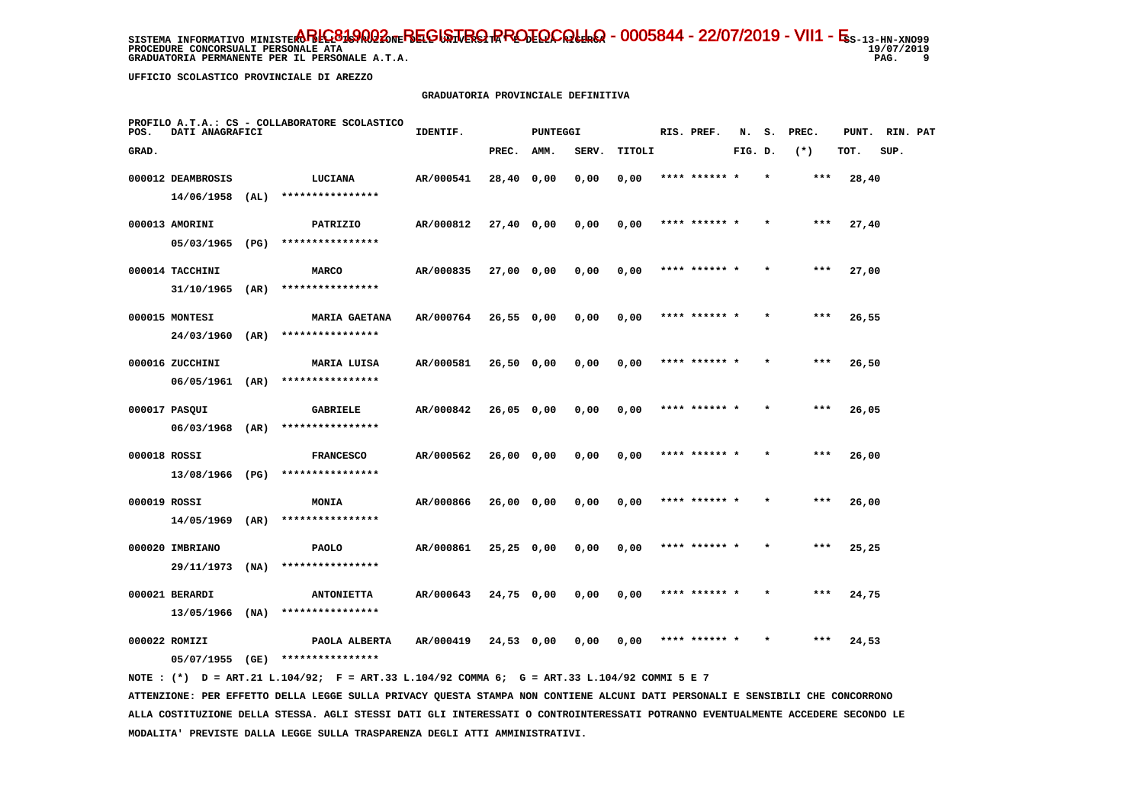**PROCEDURE CONCORSUALI PERSONALE ATA GRADUATORIA PERMANENTE PER IL PERSONALE A.T.A. PAG. 9**

19/07/2019  $^{9}$ 

 **UFFICIO SCOLASTICO PROVINCIALE DI AREZZO**

### **GRADUATORIA PROVINCIALE DEFINITIVA**

| POS.         | DATI ANAGRAFICI   |      | PROFILO A.T.A.: CS - COLLABORATORE SCOLASTICO | IDENTIF.  |              | PUNTEGGI |       |        | RIS. PREF.    | N.      | s.      | PREC. | PUNT. | RIN. PAT |  |
|--------------|-------------------|------|-----------------------------------------------|-----------|--------------|----------|-------|--------|---------------|---------|---------|-------|-------|----------|--|
| GRAD.        |                   |      |                                               |           | PREC.        | AMM.     | SERV. | TITOLI |               | FIG. D. |         | $(*)$ | TOT.  | SUP.     |  |
|              | 000012 DEAMBROSIS |      | LUCIANA                                       | AR/000541 | 28,40 0,00   |          | 0,00  | 0,00   | **** ****** * |         | $\star$ | ***   | 28,40 |          |  |
|              | 14/06/1958        | (AL) | ****************                              |           |              |          |       |        |               |         |         |       |       |          |  |
|              | 000013 AMORINI    |      | PATRIZIO                                      | AR/000812 | 27,40 0,00   |          | 0,00  | 0,00   | **** ****** * |         |         | $***$ | 27,40 |          |  |
|              | 05/03/1965        | (PG) | ****************                              |           |              |          |       |        |               |         |         |       |       |          |  |
|              | 000014 TACCHINI   |      | <b>MARCO</b>                                  | AR/000835 | 27,00 0,00   |          | 0,00  | 0,00   | **** ****** * |         | $\star$ | ***   | 27,00 |          |  |
|              | 31/10/1965        | (AR) | ****************                              |           |              |          |       |        |               |         |         |       |       |          |  |
|              | 000015 MONTESI    |      | <b>MARIA GAETANA</b>                          | AR/000764 | 26,550,00    |          | 0,00  | 0,00   | **** ****** * |         |         | ***   | 26,55 |          |  |
|              | 24/03/1960 (AR)   |      | ****************                              |           |              |          |       |        |               |         |         |       |       |          |  |
|              | 000016 ZUCCHINI   |      | MARIA LUISA                                   | AR/000581 | 26,50 0,00   |          | 0,00  | 0,00   | **** ****** * |         |         | $***$ | 26,50 |          |  |
|              | 06/05/1961 (AR)   |      | ****************                              |           |              |          |       |        |               |         |         |       |       |          |  |
|              | 000017 PASQUI     |      | <b>GABRIELE</b>                               | AR/000842 | 26,05 0,00   |          | 0,00  | 0,00   | **** ****** * |         | $\star$ | $***$ | 26,05 |          |  |
|              | 06/03/1968 (AR)   |      | ****************                              |           |              |          |       |        |               |         |         |       |       |          |  |
| 000018 ROSSI |                   |      | <b>FRANCESCO</b>                              | AR/000562 | 26,00 0,00   |          | 0,00  | 0,00   |               |         |         | $***$ | 26,00 |          |  |
|              | 13/08/1966 (PG)   |      | ****************                              |           |              |          |       |        |               |         |         |       |       |          |  |
| 000019 ROSSI |                   |      | MONIA                                         | AR/000866 | 26,000,00    |          | 0,00  | 0,00   | **** ****** * |         |         | $***$ | 26,00 |          |  |
|              | 14/05/1969        | (AR) | ****************                              |           |              |          |       |        |               |         |         |       |       |          |  |
|              | 000020 IMBRIANO   |      | <b>PAOLO</b>                                  | AR/000861 | $25,25$ 0,00 |          | 0,00  | 0,00   | **** ****** * |         |         | $***$ | 25,25 |          |  |
|              | 29/11/1973        | (NA) | ****************                              |           |              |          |       |        |               |         |         |       |       |          |  |
|              | 000021 BERARDI    |      | <b>ANTONIETTA</b>                             | AR/000643 | 24,75 0,00   |          | 0,00  | 0,00   | **** ****** * |         |         | $***$ | 24,75 |          |  |
|              | $13/05/1966$ (NA) |      | ****************                              |           |              |          |       |        |               |         |         |       |       |          |  |
|              | 000022 ROMIZI     |      | PAOLA ALBERTA                                 | AR/000419 | 24,53 0,00   |          | 0.00  | 0,00   |               |         |         | ***   | 24,53 |          |  |
|              | 05/07/1955        | (GE) | ****************                              |           |              |          |       |        |               |         |         |       |       |          |  |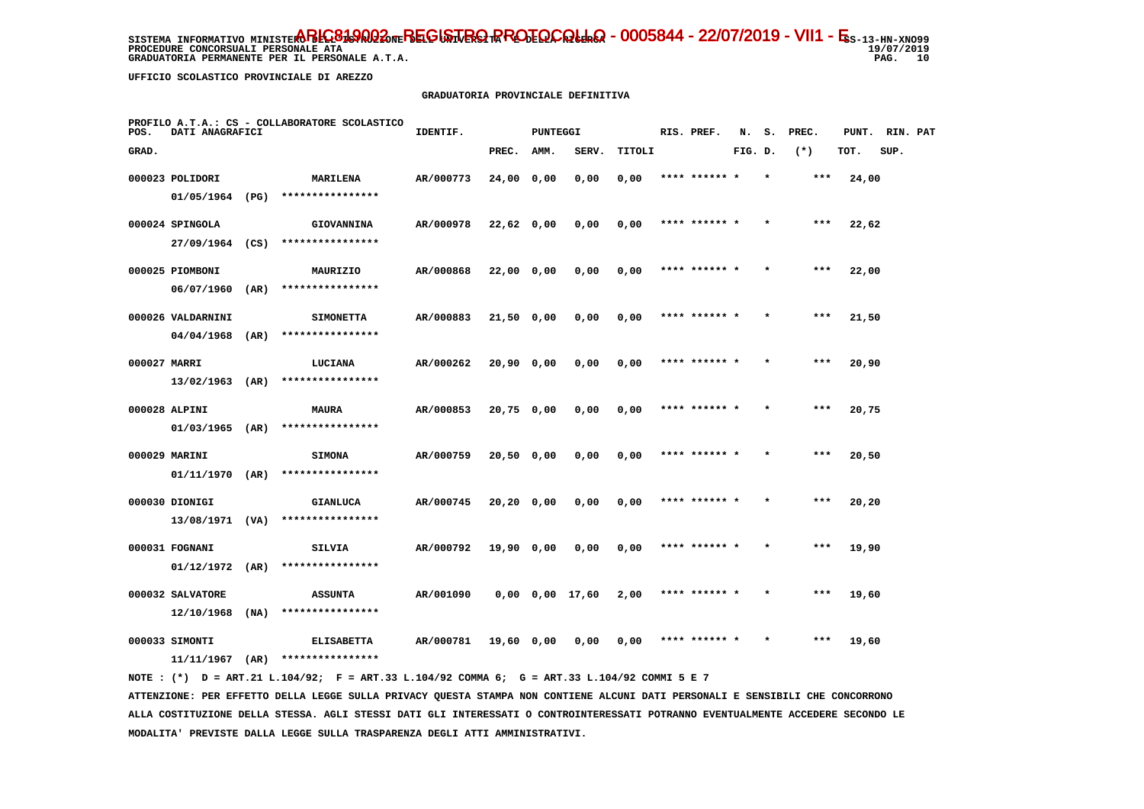**PROCEDURE CONCORSUALI PERSONALE ATA GRADUATORIA PERMANENTE PER IL PERSONALE A.T.A.** 

 **UFFICIO SCOLASTICO PROVINCIALE DI AREZZO**

### **GRADUATORIA PROVINCIALE DEFINITIVA**

| POS.         | DATI ANAGRAFICI              |      | PROFILO A.T.A.: CS - COLLABORATORE SCOLASTICO | IDENTIF.  |              | PUNTEGGI |                       |        | RIS. PREF.    | N.      | s.      | PREC. | PUNT. | RIN. PAT |  |
|--------------|------------------------------|------|-----------------------------------------------|-----------|--------------|----------|-----------------------|--------|---------------|---------|---------|-------|-------|----------|--|
| GRAD.        |                              |      |                                               |           | PREC.        | AMM.     | SERV.                 | TITOLI |               | FIG. D. |         | $(*)$ | TOT.  | SUP.     |  |
|              | 000023 POLIDORI              |      | MARILENA                                      | AR/000773 | 24,00 0,00   |          | 0,00                  | 0,00   | **** ****** * |         | $\star$ | ***   | 24,00 |          |  |
|              | 01/05/1964 (PG)              |      | ****************                              |           |              |          |                       |        |               |         |         |       |       |          |  |
|              | 000024 SPINGOLA              |      | <b>GIOVANNINA</b>                             | AR/000978 | 22,62 0,00   |          | 0,00                  | 0,00   | **** ****** * |         |         | ***   | 22,62 |          |  |
|              | 27/09/1964 (CS)              |      | ****************                              |           |              |          |                       |        |               |         |         |       |       |          |  |
|              | 000025 PIOMBONI              |      | MAURIZIO                                      | AR/000868 | 22,00 0,00   |          | 0,00                  | 0,00   | **** ****** * |         |         | ***   | 22,00 |          |  |
|              | 06/07/1960                   | (AR) | ****************                              |           |              |          |                       |        |               |         |         |       |       |          |  |
|              | 000026 VALDARNINI            |      | <b>SIMONETTA</b>                              | AR/000883 | 21,50 0,00   |          | 0,00                  | 0,00   | **** ****** * |         |         | $***$ | 21,50 |          |  |
|              | 04/04/1968                   | (AR) | ****************                              |           |              |          |                       |        |               |         |         |       |       |          |  |
| 000027 MARRI |                              |      | LUCIANA                                       | AR/000262 | $20,90$ 0,00 |          | 0,00                  | 0,00   | **** ****** * |         |         | ***   | 20,90 |          |  |
|              | 13/02/1963                   | (AR) | ****************                              |           |              |          |                       |        |               |         |         |       |       |          |  |
|              | 000028 ALPINI                |      | <b>MAURA</b>                                  | AR/000853 | 20,75 0,00   |          | 0,00                  | 0,00   | **** ****** * |         | $\star$ | $***$ | 20,75 |          |  |
|              | $01/03/1965$ (AR)            |      | ****************                              |           |              |          |                       |        |               |         |         |       |       |          |  |
|              | 000029 MARINI                |      | <b>SIMONA</b>                                 | AR/000759 | 20,50 0,00   |          | 0,00                  | 0,00   |               |         |         |       | 20,50 |          |  |
|              | $01/11/1970$ (AR)            |      | ****************                              |           |              |          |                       |        |               |         |         |       |       |          |  |
|              | 000030 DIONIGI               |      | <b>GIANLUCA</b>                               | AR/000745 | 20,20 0,00   |          | 0,00                  | 0,00   | **** ****** * |         |         | $***$ | 20,20 |          |  |
|              | 13/08/1971 (VA)              |      | ****************                              |           |              |          |                       |        |               |         |         |       |       |          |  |
|              | 000031 FOGNANI               |      | SILVIA                                        | AR/000792 | 19,90 0,00   |          | 0,00                  | 0,00   | **** ****** * |         |         | $***$ | 19,90 |          |  |
|              | 01/12/1972                   | (AR) | ****************                              |           |              |          |                       |        |               |         |         |       |       |          |  |
|              | 000032 SALVATORE             |      | <b>ASSUNTA</b>                                | AR/001090 |              |          | $0,00$ $0,00$ $17,60$ | 2,00   | **** ****** * |         |         | $***$ | 19,60 |          |  |
|              | 12/10/1968                   | (NA) | ****************                              |           |              |          |                       |        |               |         |         |       |       |          |  |
|              | 000033 SIMONTI<br>11/11/1967 | (AR) | <b>ELISABETTA</b><br>****************         | AR/000781 | 19,60 0,00   |          | 0,00                  | 0,00   |               |         |         | ***   | 19,60 |          |  |
|              |                              |      |                                               |           |              |          |                       |        |               |         |         |       |       |          |  |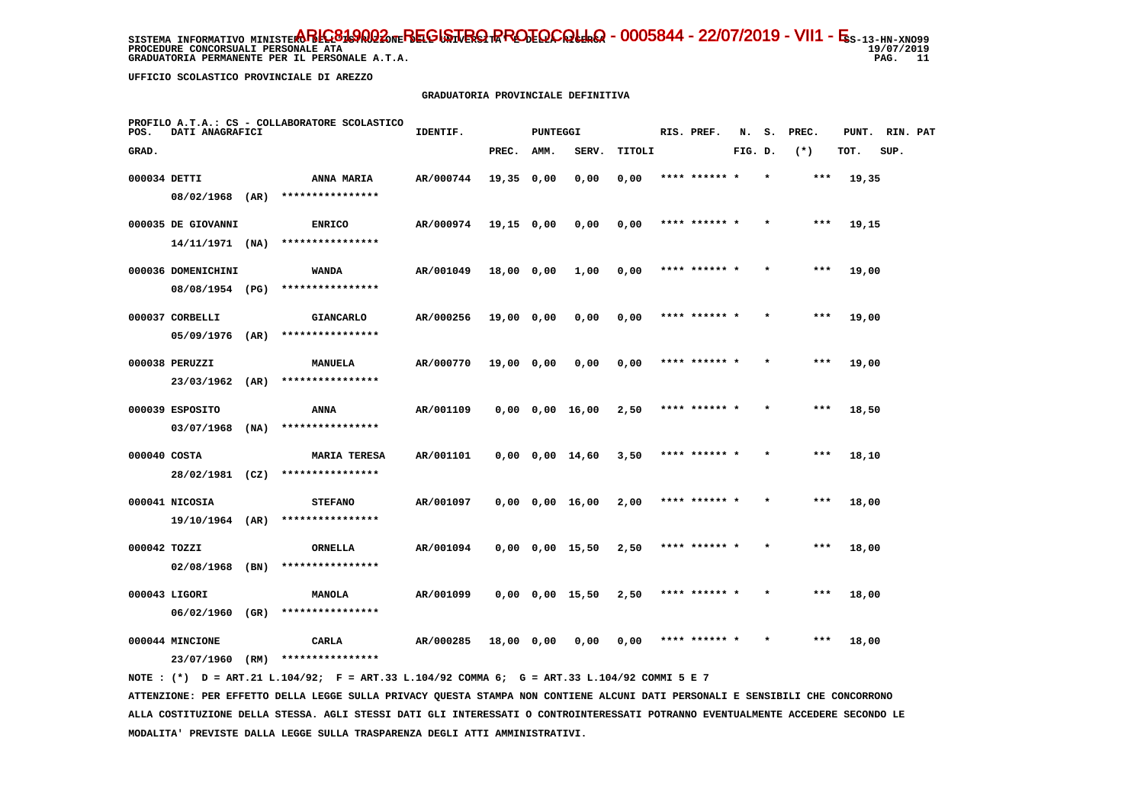**PROCEDURE CONCORSUALI PERSONALE ATA GRADUATORIA PERMANENTE PER IL PERSONALE A.T.A.**  19/07/2019 PAG. 11

 **UFFICIO SCOLASTICO PROVINCIALE DI AREZZO**

### **GRADUATORIA PROVINCIALE DEFINITIVA**

| POS.         | DATI ANAGRAFICI    |      | PROFILO A.T.A.: CS - COLLABORATORE SCOLASTICO | IDENTIF.  |              | PUNTEGGI |                       |        |      | RIS. PREF.    | N.      | s.      | PREC. | PUNT. | RIN. PAT |  |
|--------------|--------------------|------|-----------------------------------------------|-----------|--------------|----------|-----------------------|--------|------|---------------|---------|---------|-------|-------|----------|--|
| GRAD.        |                    |      |                                               |           | PREC.        | AMM.     | SERV.                 | TITOLI |      |               | FIG. D. |         | $(*)$ | TOT.  | SUP.     |  |
| 000034 DETTI |                    |      | ANNA MARIA                                    | AR/000744 | 19,35 0,00   |          | 0,00                  | 0,00   |      | **** ****** * |         | $\star$ | ***   | 19,35 |          |  |
|              | 08/02/1968 (AR)    |      | ****************                              |           |              |          |                       |        |      |               |         |         |       |       |          |  |
|              | 000035 DE GIOVANNI |      | <b>ENRICO</b>                                 | AR/000974 | $19,15$ 0,00 |          | 0,00                  | 0,00   |      | **** ****** * |         |         | $***$ | 19,15 |          |  |
|              | $14/11/1971$ (NA)  |      | ****************                              |           |              |          |                       |        |      |               |         |         |       |       |          |  |
|              | 000036 DOMENICHINI |      | <b>WANDA</b>                                  | AR/001049 | 18,00 0,00   |          | 1,00                  | 0,00   |      | **** ****** * |         | $\star$ | ***   | 19,00 |          |  |
|              | 08/08/1954 (PG)    |      | ****************                              |           |              |          |                       |        |      |               |         |         |       |       |          |  |
|              | 000037 CORBELLI    |      | <b>GIANCARLO</b>                              | AR/000256 | 19,00 0,00   |          | 0,00                  | 0,00   |      | **** ****** * |         |         | $***$ | 19,00 |          |  |
|              | 05/09/1976         | (AR) | ****************                              |           |              |          |                       |        |      |               |         |         |       |       |          |  |
|              | 000038 PERUZZI     |      | MANUELA                                       | AR/000770 | 19,00 0,00   |          | 0,00                  | 0,00   |      | **** ****** * |         |         | $***$ | 19,00 |          |  |
|              | 23/03/1962 (AR)    |      | ****************                              |           |              |          |                       |        |      |               |         |         |       |       |          |  |
|              | 000039 ESPOSITO    |      | ANNA                                          | AR/001109 |              |          | 0,00 0,00 16,00       | 2,50   |      | **** ****** * |         | $\star$ | ***   | 18,50 |          |  |
|              | 03/07/1968         | (MA) | ****************                              |           |              |          |                       |        |      |               |         |         |       |       |          |  |
| 000040 COSTA |                    |      | <b>MARIA TERESA</b>                           | AR/001101 |              |          | $0,00$ $0,00$ $14,60$ | 3,50   |      | **** ******   |         |         | $***$ | 18,10 |          |  |
|              | 28/02/1981 (CZ)    |      | ****************                              |           |              |          |                       |        |      |               |         |         |       |       |          |  |
|              | 000041 NICOSIA     |      | <b>STEFANO</b>                                | AR/001097 |              |          | $0,00$ $0,00$ $16,00$ | 2,00   |      | **** ****** * |         |         | $***$ | 18,00 |          |  |
|              | 19/10/1964 (AR)    |      | ****************                              |           |              |          |                       |        |      |               |         |         |       |       |          |  |
| 000042 TOZZI |                    |      | ORNELLA                                       | AR/001094 |              |          | $0,00$ $0,00$ $15,50$ | 2,50   |      | **** ****** * |         |         | $***$ | 18,00 |          |  |
|              | 02/08/1968         | (BN) | ****************                              |           |              |          |                       |        |      |               |         |         |       |       |          |  |
|              | 000043 LIGORI      |      | <b>MANOLA</b>                                 | AR/001099 |              |          | $0,00$ $0,00$ $15,50$ | 2,50   |      | **** ****** * |         |         | $***$ | 18,00 |          |  |
|              | 06/02/1960 (GR)    |      | ****************                              |           |              |          |                       |        |      |               |         |         |       |       |          |  |
|              | 000044 MINCIONE    |      | CARLA<br>****************                     | AR/000285 | 18,00 0,00   |          | 0,00                  | 0,00   | **** |               |         |         | ***   | 18,00 |          |  |
|              | 23/07/1960         | (RM) |                                               |           |              |          |                       |        |      |               |         |         |       |       |          |  |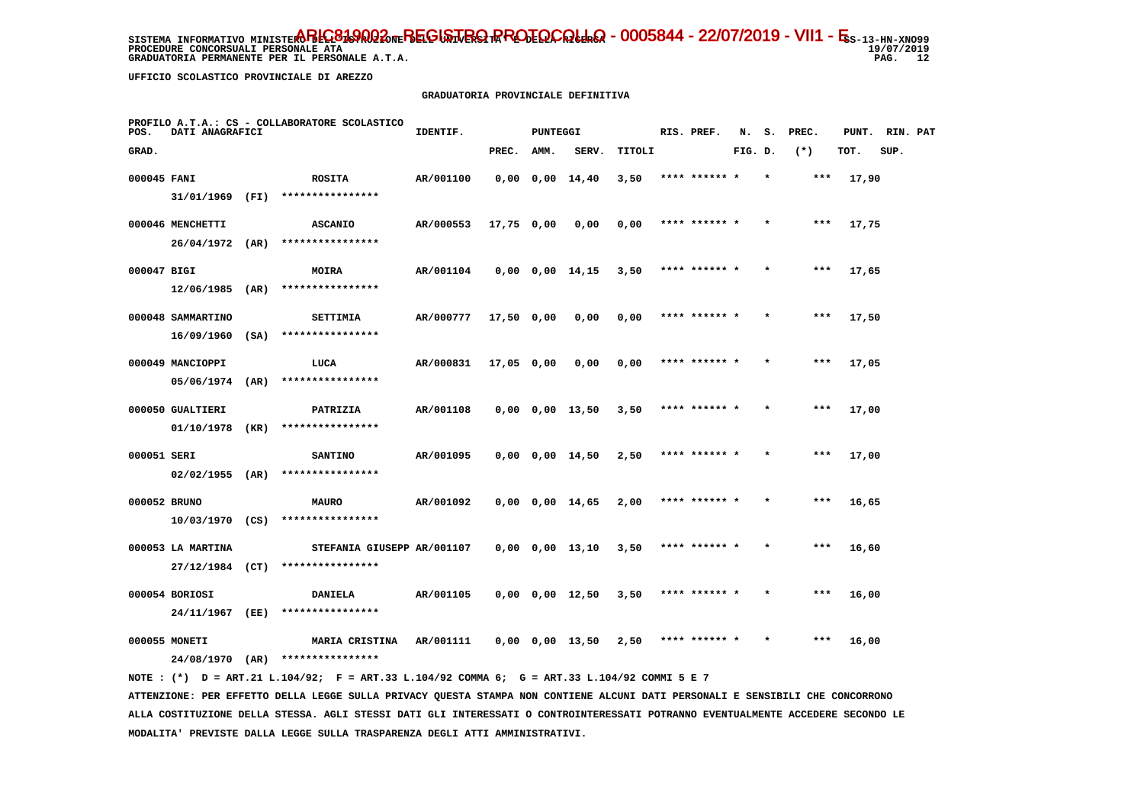**PROCEDURE CONCORSUALI PERSONALE ATA GRADUATORIA PERMANENTE PER IL PERSONALE A.T.A.**   $19/07/2019$ PAG. 12

 **UFFICIO SCOLASTICO PROVINCIALE DI AREZZO**

#### **GRADUATORIA PROVINCIALE DEFINITIVA**

| POS.         | <b>DATI ANAGRAFICI</b> | PROFILO A.T.A.: CS - COLLABORATORE SCOLASTICO                                                  | IDENTIF.                  |            | <b>PUNTEGGI</b> |                                            |        | RIS. PREF.           |         |         | N. S. PREC. | PUNT. RIN. PAT |      |  |
|--------------|------------------------|------------------------------------------------------------------------------------------------|---------------------------|------------|-----------------|--------------------------------------------|--------|----------------------|---------|---------|-------------|----------------|------|--|
| GRAD.        |                        |                                                                                                |                           | PREC. AMM. |                 | SERV.                                      | TITOLI |                      | FIG. D. |         | $(*)$       | TOT.           | SUP. |  |
| 000045 FANI  |                        | <b>ROSITA</b>                                                                                  | AR/001100                 |            |                 | 0,00 0,00 14,40                            | 3,50   | **** ****** *        |         |         | $***$       | 17,90          |      |  |
|              |                        | $31/01/1969$ (FI) ****************                                                             |                           |            |                 |                                            |        |                      |         |         |             |                |      |  |
|              | 000046 MENCHETTI       | <b>ASCANIO</b>                                                                                 | AR/000553 17,75 0,00 0,00 |            |                 |                                            | 0,00   | **** ****** *        |         | $\star$ | $***$       | 17,75          |      |  |
|              |                        | 26/04/1972 (AR) ****************                                                               |                           |            |                 |                                            |        |                      |         |         |             |                |      |  |
| 000047 BIGI  |                        | <b>MOIRA</b>                                                                                   | AR/001104                 |            |                 | $0,00$ $0,00$ $14,15$ $3,50$ **** ****** * |        |                      |         | $\star$ | $* * *$     | 17,65          |      |  |
|              |                        | $12/06/1985$ (AR) ****************                                                             |                           |            |                 |                                            |        |                      |         |         |             |                |      |  |
|              | 000048 SAMMARTINO      | <b>SETTIMIA</b>                                                                                | AR/000777 17,50 0,00 0,00 |            |                 |                                            | 0,00   | **** ****** *        |         | $\star$ | $* * *$     | 17,50          |      |  |
|              |                        | 16/09/1960 (SA) ****************                                                               |                           |            |                 |                                            |        |                      |         |         |             |                |      |  |
|              | 000049 MANCIOPPI       | LUCA                                                                                           | AR/000831 17,05 0,00 0,00 |            |                 |                                            |        | $0,00$ **** ****** * |         |         | $***$       | 17,05          |      |  |
|              |                        | $05/06/1974$ (AR) ****************                                                             |                           |            |                 |                                            |        |                      |         |         |             |                |      |  |
|              | 000050 GUALTIERI       | <b>PATRIZIA</b>                                                                                | AR/001108                 |            |                 | $0,00$ $0,00$ $13,50$ $3,50$ **** ****** * |        |                      |         | $\star$ | $***$       | 17,00          |      |  |
|              |                        | $01/10/1978$ (KR) *****************                                                            |                           |            |                 |                                            |        |                      |         |         |             |                |      |  |
| 000051 SERI  |                        | <b>SANTINO</b>                                                                                 | AR/001095                 |            |                 | $0,00$ $0,00$ $14,50$ $2,50$ **** ****** * |        |                      |         |         | ***         | 17,00          |      |  |
|              |                        | $02/02/1955$ (AR) *****************                                                            |                           |            |                 |                                            |        |                      |         |         |             |                |      |  |
| 000052 BRUNO |                        | <b>MAURO</b>                                                                                   | AR/001092                 |            |                 | $0,00$ $0,00$ $14,65$ $2,00$               |        | **** ****** *        |         |         | ***         | 16,65          |      |  |
|              |                        | $10/03/1970$ (CS) ****************                                                             |                           |            |                 |                                            |        |                      |         |         |             |                |      |  |
|              | 000053 LA MARTINA      | STEFANIA GIUSEPP AR/001107                                                                     |                           |            |                 | $0,00$ $0,00$ $13,10$ $3,50$ **** ****** * |        |                      |         |         | $***$       | 16,60          |      |  |
|              |                        | $27/12/1984$ (CT) ****************                                                             |                           |            |                 |                                            |        |                      |         |         |             |                |      |  |
|              | 000054 BORIOSI         | <b>DANIELA</b>                                                                                 | AR/001105                 |            |                 | $0,00$ $0,00$ $12,50$ $3,50$ **** ****** * |        |                      |         | $\star$ | $***$       | 16,00          |      |  |
|              |                        | 24/11/1967 (EE) ****************                                                               |                           |            |                 |                                            |        |                      |         |         |             |                |      |  |
|              | 000055 MONETI          |                                                                                                |                           |            |                 |                                            |        |                      |         | $\star$ | ***         | 16,00          |      |  |
|              |                        | 24/08/1970 (AR) ****************                                                               |                           |            |                 |                                            |        |                      |         |         |             |                |      |  |
|              |                        | NOTE : $(*)$ D = ART.21 L.104/92; F = ART.33 L.104/92 COMMA 6; G = ART.33 L.104/92 COMMI 5 E 7 |                           |            |                 |                                            |        |                      |         |         |             |                |      |  |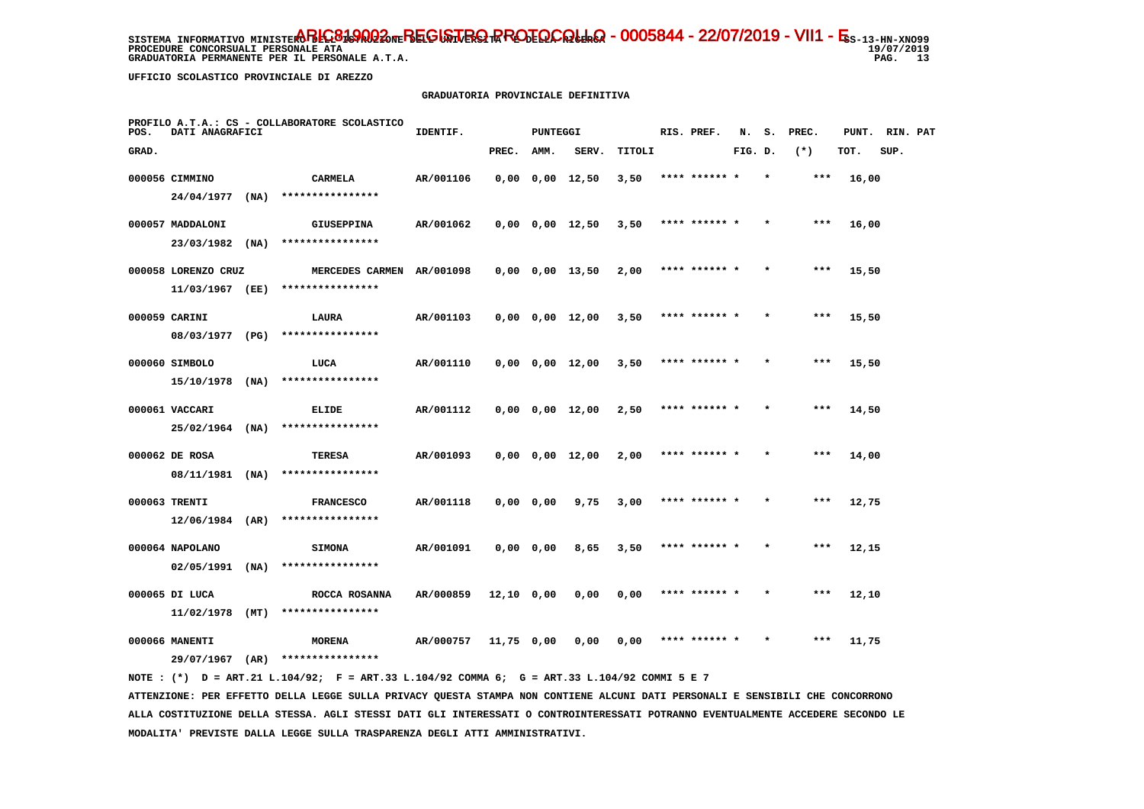**PROCEDURE CONCORSUALI PERSONALE ATA GRADUATORIA PERMANENTE PER IL PERSONALE A.T.A.**  19/07/2019 PAG. 13

 **UFFICIO SCOLASTICO PROVINCIALE DI AREZZO**

### **GRADUATORIA PROVINCIALE DEFINITIVA**

| POS.  | DATI ANAGRAFICI                   |      | PROFILO A.T.A.: CS - COLLABORATORE SCOLASTICO | IDENTIF.  |              | PUNTEGGI  |                               |        | RIS. PREF.    | N.      | s.      | PREC. | PUNT. | RIN. PAT |  |
|-------|-----------------------------------|------|-----------------------------------------------|-----------|--------------|-----------|-------------------------------|--------|---------------|---------|---------|-------|-------|----------|--|
| GRAD. |                                   |      |                                               |           | PREC.        | AMM.      | SERV.                         | TITOLI |               | FIG. D. |         | $(*)$ | TOT.  | SUP.     |  |
|       | 000056 CIMMINO                    |      | <b>CARMELA</b>                                | AR/001106 |              |           | $0,00$ $0,00$ $12,50$         | 3,50   | **** ****** * |         | $\star$ | ***   | 16,00 |          |  |
|       | 24/04/1977                        | (NA) | ****************                              |           |              |           |                               |        |               |         |         |       |       |          |  |
|       | 000057 MADDALONI                  |      | <b>GIUSEPPINA</b>                             | AR/001062 |              |           | $0,00$ $0,00$ $12,50$         | 3,50   | **** ****** * |         |         | $***$ | 16,00 |          |  |
|       | 23/03/1982                        | (NA) | ****************                              |           |              |           |                               |        |               |         |         |       |       |          |  |
|       | 000058 LORENZO CRUZ               |      | MERCEDES CARMEN AR/001098                     |           |              |           | $0,00$ $0,00$ $13,50$         | 2,00   | **** ****** * |         | $\star$ | $***$ | 15,50 |          |  |
|       | 11/03/1967 (EE)                   |      | ****************                              |           |              |           |                               |        |               |         |         |       |       |          |  |
|       | 000059 CARINI                     |      | LAURA                                         | AR/001103 |              |           | $0,00$ $0,00$ $12,00$         | 3,50   | **** ****** * |         |         | ***   | 15,50 |          |  |
|       | 08/03/1977 (PG)                   |      | ****************                              |           |              |           |                               |        |               |         |         |       |       |          |  |
|       | 000060 SIMBOLO                    |      | LUCA                                          | AR/001110 |              |           | $0,00$ $0,00$ $12,00$         | 3,50   | **** ****** * |         | $\star$ | ***   | 15,50 |          |  |
|       | $15/10/1978$ (NA)                 |      | ****************                              |           |              |           |                               |        |               |         |         |       |       |          |  |
|       | 000061 VACCARI                    |      | ELIDE                                         | AR/001112 |              |           | $0,00$ $0,00$ $12,00$         | 2,50   | **** ****** * |         | $\star$ | $***$ | 14,50 |          |  |
|       | $25/02/1964$ (NA)                 |      | ****************                              |           |              |           |                               |        |               |         |         |       |       |          |  |
|       | 000062 DE ROSA                    |      | TERESA                                        | AR/001093 |              |           | $0,00 \quad 0,00 \quad 12,00$ | 2,00   | **** ****** * |         |         | ***   | 14,00 |          |  |
|       | 08/11/1981 (NA)                   |      | ****************                              |           |              |           |                               |        |               |         |         |       |       |          |  |
|       | 000063 TRENTI                     |      | <b>FRANCESCO</b>                              | AR/001118 |              | 0,0000,00 | 9,75                          | 3,00   | **** ****** * |         |         | $***$ | 12,75 |          |  |
|       | 12/06/1984 (AR)                   |      | ****************                              |           |              |           |                               |        |               |         |         |       |       |          |  |
|       | 000064 NAPOLANO                   |      | <b>SIMONA</b>                                 | AR/001091 |              | 0,0000,00 | 8,65                          | 3,50   | **** ****** * |         | $\star$ | $***$ | 12,15 |          |  |
|       | $02/05/1991$ (NA)                 |      | ****************                              |           |              |           |                               |        |               |         |         |       |       |          |  |
|       | 000065 DI LUCA                    |      | ROCCA ROSANNA                                 | AR/000859 | $12,10$ 0,00 |           | 0,00                          | 0,00   | **** ****** * |         |         | $***$ | 12,10 |          |  |
|       | $11/02/1978$ (MT)                 |      | ****************                              |           |              |           |                               |        |               |         |         |       |       |          |  |
|       | 000066 MANENTI<br>29/07/1967 (AR) |      | <b>MORENA</b><br>****************             | AR/000757 | 11,75 0,00   |           | 0,00                          | 0,00   | **** ****** * |         |         | $***$ | 11,75 |          |  |
|       |                                   |      |                                               |           |              |           |                               |        |               |         |         |       |       |          |  |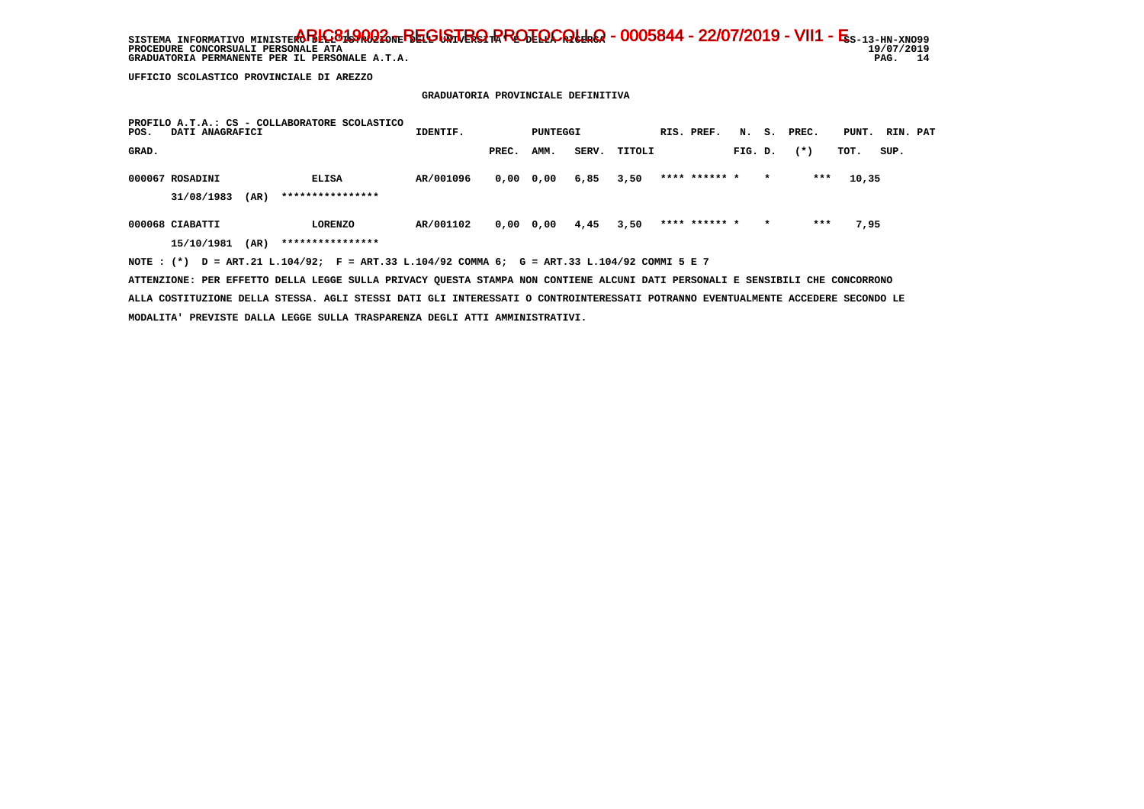SISTEMA INFORMATIVO MINISTERO BELGO DEL BEGISTRO RROTOCOLLO - 0005844 - 22/07/2019 - VII1 - E<sub>S-13-HN-XNO99</sub>  $19/07/2019$ **PROCEDURE CONCORSUALI PERSONALE ATA** PAG. 14 GRADUATORIA PERMANENTE PER IL PERSONALE A.T.A.

 **UFFICIO SCOLASTICO PROVINCIALE DI AREZZO**

## **GRADUATORIA PROVINCIALE DEFINITIVA**

| PROFILO A.T.A.: CS - COLLABORATORE SCOLASTICO<br>DATI ANAGRAFICI<br>POS.                    | IDENTIF.  |       | PUNTEGGI      |       |        | RIS. PREF.    |         |         | N. S. PREC. | PUNT. RIN. PAT |      |  |
|---------------------------------------------------------------------------------------------|-----------|-------|---------------|-------|--------|---------------|---------|---------|-------------|----------------|------|--|
| GRAD.                                                                                       |           | PREC. | AMM.          | SERV. | TITOLI |               | FIG. D. |         | $(* )$      | TOT.           | SUP. |  |
| 000067 ROSADINI<br><b>ELISA</b>                                                             | AR/001096 |       | $0,00$ $0,00$ | 6,85  | 3,50   | **** ****** * |         | $\star$ | ***         | 10,35          |      |  |
| ****************<br>31/08/1983<br>(AR)                                                      |           |       |               |       |        |               |         |         |             |                |      |  |
| 000068 CIABATTI<br>LORENZO                                                                  | AR/001102 |       | 0,00 0,00     | 4,45  | 3,50   | **** ****** * |         | $\star$ | ***         | 7,95           |      |  |
| ****************<br>(AR)<br>15/10/1981                                                      |           |       |               |       |        |               |         |         |             |                |      |  |
| NOTE: (*) D = ART.21 L.104/92; F = ART.33 L.104/92 COMMA 6; G = ART.33 L.104/92 COMMI 5 E 7 |           |       |               |       |        |               |         |         |             |                |      |  |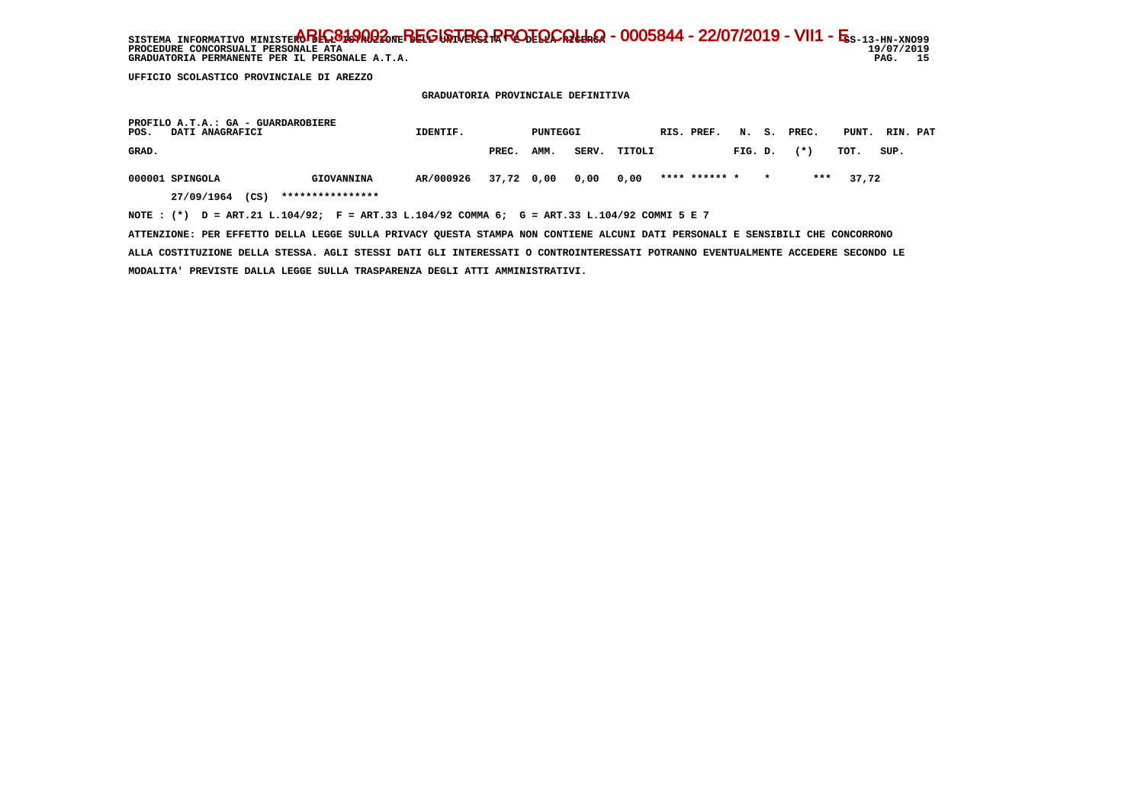SISTEMA INFORMATIVO MINISTERO BELGO DEL BEGISTRO RROTOCOLLO - 0005844 - 22/07/2019 - VII1 - E<sub>S-13-HN-XNO99</sub>  $19/07/2019$ **PROCEDURE CONCORSUALI PERSONALE ATA** PAG. 15 GRADUATORIA PERMANENTE PER IL PERSONALE A.T.A.

 **UFFICIO SCOLASTICO PROVINCIALE DI AREZZO**

 **GRADUATORIA PROVINCIALE DEFINITIVA**

| PROFILO A.T.A.: GA - GUARDAROBIERE<br>POS.<br>DATI ANAGRAFICI                                  | IDENTIF.  |            | PUNTEGGI |       |        | RIS. PREF.    |         |         | N. S. PREC. | PUNT. RIN. PAT |      |  |
|------------------------------------------------------------------------------------------------|-----------|------------|----------|-------|--------|---------------|---------|---------|-------------|----------------|------|--|
| GRAD.                                                                                          |           | PREC.      | AMM.     | SERV. | TITOLI |               | FIG. D. |         | $(* )$      | тот.           | SUP. |  |
| 000001 SPINGOLA<br>GIOVANNINA                                                                  | AR/000926 | 37,72 0,00 |          | 0.00  | 0.00   | **** ****** * |         | $\star$ | ***         | 37,72          |      |  |
| ****************<br>(CS)<br>27/09/1964                                                         |           |            |          |       |        |               |         |         |             |                |      |  |
| NOTE : $(*)$ D = ART.21 L.104/92; F = ART.33 L.104/92 COMMA 6; G = ART.33 L.104/92 COMMI 5 E 7 |           |            |          |       |        |               |         |         |             |                |      |  |